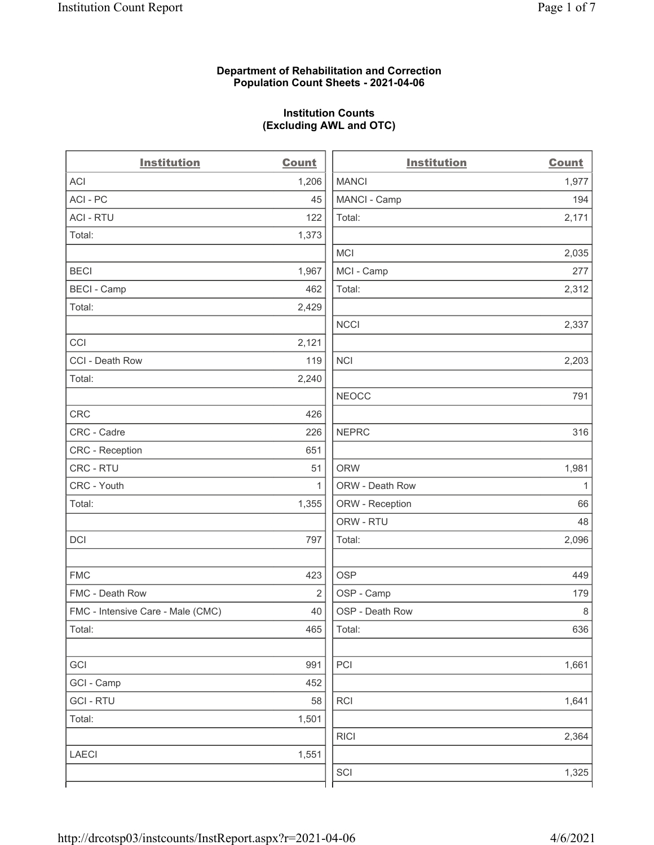#### Department of Rehabilitation and Correction Population Count Sheets - 2021-04-06

#### Institution Counts (Excluding AWL and OTC)

 $\overline{a}$ 

| <b>Institution</b>                | <b>Count</b>   | <b>Institution</b> | <b>Count</b> |
|-----------------------------------|----------------|--------------------|--------------|
| ACI                               | 1,206          | <b>MANCI</b>       | 1,977        |
| ACI - PC                          | 45             | MANCI - Camp       | 194          |
| <b>ACI - RTU</b>                  | 122            | Total:             | 2,171        |
| Total:                            | 1,373          |                    |              |
|                                   |                | <b>MCI</b>         | 2,035        |
| <b>BECI</b>                       | 1,967          | MCI - Camp         | 277          |
| <b>BECI - Camp</b>                | 462            | Total:             | 2,312        |
| Total:                            | 2,429          |                    |              |
|                                   |                | <b>NCCI</b>        | 2,337        |
| CCI                               | 2,121          |                    |              |
| CCI - Death Row                   | 119            | <b>NCI</b>         | 2,203        |
| Total:                            | 2,240          |                    |              |
|                                   |                | <b>NEOCC</b>       | 791          |
| <b>CRC</b>                        | 426            |                    |              |
| CRC - Cadre                       | 226            | <b>NEPRC</b>       | 316          |
| CRC - Reception                   | 651            |                    |              |
| CRC - RTU                         | 51             | <b>ORW</b>         | 1,981        |
| CRC - Youth                       | $\mathbf{1}$   | ORW - Death Row    | $\mathbf{1}$ |
| Total:                            | 1,355          | ORW - Reception    | 66           |
|                                   |                | ORW - RTU          | 48           |
| DCI                               | 797            | Total:             | 2,096        |
| <b>FMC</b>                        | 423            | <b>OSP</b>         | 449          |
| FMC - Death Row                   | $\overline{2}$ | OSP - Camp         | 179          |
| FMC - Intensive Care - Male (CMC) | 40             | OSP - Death Row    | $\,8\,$      |
| Total:                            | 465            | Total:             | 636          |
| GCI                               | 991            | PCI                | 1,661        |
| GCI - Camp                        | 452            |                    |              |
| <b>GCI-RTU</b>                    | 58             | RCI                | 1,641        |
| Total:                            | 1,501          |                    |              |
|                                   |                | <b>RICI</b>        | 2,364        |
| <b>LAECI</b>                      | 1,551          |                    |              |
|                                   |                | SCI                | 1,325        |
|                                   |                |                    |              |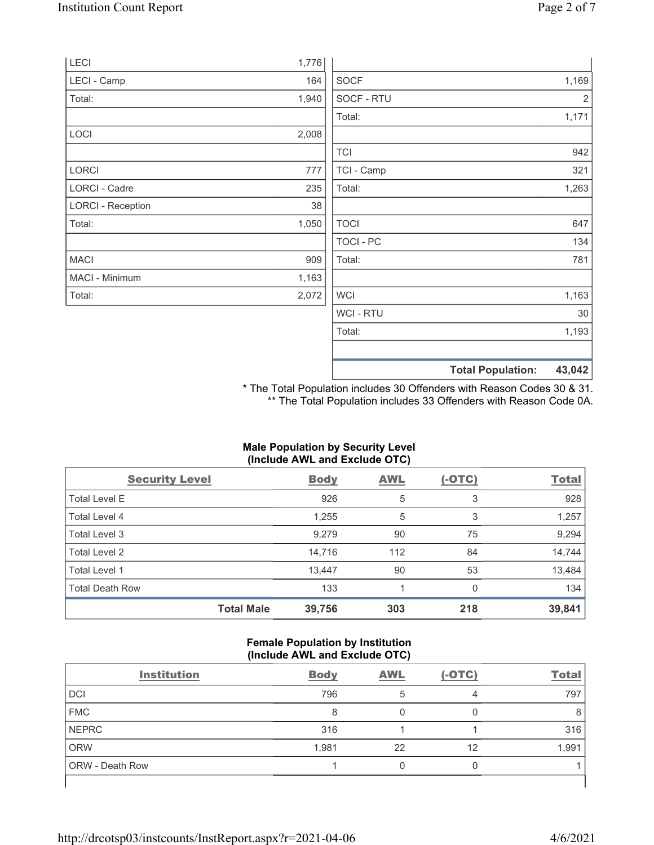|                          |       |             | <b>Total Population:</b> | 43,042         |
|--------------------------|-------|-------------|--------------------------|----------------|
|                          |       |             |                          |                |
|                          |       | Total:      |                          | 1,193          |
|                          |       | WCI - RTU   |                          | 30             |
| Total:                   | 2,072 | <b>WCI</b>  |                          | 1,163          |
| MACI - Minimum           | 1,163 |             |                          |                |
| <b>MACI</b>              | 909   | Total:      |                          | 781            |
|                          |       | TOCI - PC   |                          | 134            |
| Total:                   | 1,050 | <b>TOCI</b> |                          | 647            |
| <b>LORCI - Reception</b> | 38    |             |                          |                |
| LORCI - Cadre            | 235   | Total:      |                          | 1,263          |
| <b>LORCI</b>             | 777   | TCI - Camp  |                          | 321            |
|                          |       | <b>TCI</b>  |                          | 942            |
| LOCI                     | 2,008 |             |                          |                |
|                          |       | Total:      |                          | 1,171          |
| Total:                   | 1,940 | SOCF - RTU  |                          | $\overline{2}$ |
| LECI - Camp              | 164   | <b>SOCF</b> |                          | 1,169          |
| LECI                     | 1,776 |             |                          |                |

\* The Total Population includes 30 Offenders with Reason Codes 30 & 31. \*\* The Total Population includes 33 Offenders with Reason Code 0A.

## Male Population by Security Level (Include AWL and Exclude OTC)

| <b>Security Level</b>  |                   | <b>Body</b> | <b>AWL</b> | $(-OTC)$ | <b>Total</b> |
|------------------------|-------------------|-------------|------------|----------|--------------|
| <b>Total Level E</b>   |                   | 926         | 5          | 3        | 928          |
| Total Level 4          |                   | 1,255       | 5          | 3        | 1,257        |
| Total Level 3          |                   | 9,279       | 90         | 75       | 9,294        |
| Total Level 2          |                   | 14,716      | 112        | 84       | 14,744       |
| Total Level 1          |                   | 13,447      | 90         | 53       | 13,484       |
| <b>Total Death Row</b> |                   | 133         |            | $\Omega$ | 134          |
|                        | <b>Total Male</b> | 39,756      | 303        | 218      | 39,841       |

#### Female Population by Institution (Include AWL and Exclude OTC)

| <b>Institution</b> | <b>Body</b> | <b>AWL</b> | $(-OTC)$ | <b>Total</b> |
|--------------------|-------------|------------|----------|--------------|
| <b>DCI</b>         | 796         |            | 4        | 797          |
| <b>FMC</b>         | 8           |            |          |              |
| <b>NEPRC</b>       | 316         |            |          | 316          |
| <b>ORW</b>         | 1,981       | 22         | 12       | 1,991        |
| ORW - Death Row    |             | 0          |          |              |
|                    |             |            |          |              |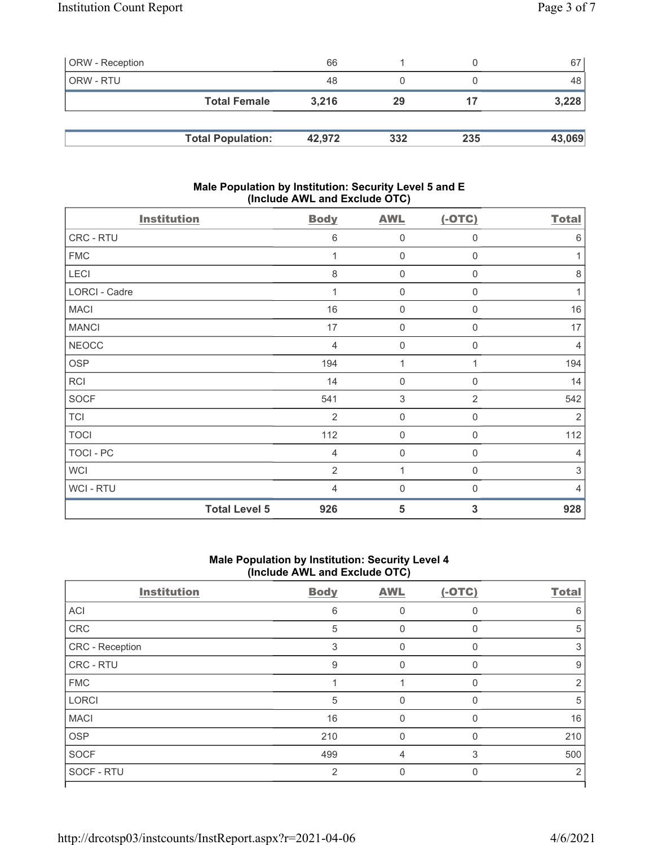| <b>ORW</b> - Reception |                          | 66     |     |     | 67     |
|------------------------|--------------------------|--------|-----|-----|--------|
| ORW - RTU              |                          | 48     |     |     | 48     |
|                        | <b>Total Female</b>      | 3.216  | 29  | 17  | 3,228  |
|                        |                          |        |     |     |        |
|                        | <b>Total Population:</b> | 42,972 | 332 | 235 | 43,069 |

#### Male Population by Institution: Security Level 5 and E (Include AWL and Exclude OTC)

| <b>Institution</b> |                      | <b>Body</b>    | <b>AWL</b>          | $(-OTC)$    | <b>Total</b>   |
|--------------------|----------------------|----------------|---------------------|-------------|----------------|
| CRC - RTU          |                      | 6              | $\mathbf 0$         | $\mathbf 0$ | 6              |
| <b>FMC</b>         |                      |                | $\mathsf{O}\xspace$ | $\mathbf 0$ | 1              |
| LECI               |                      | 8              | $\mathbf 0$         | $\mathbf 0$ | $\,8\,$        |
| LORCI - Cadre      |                      | 1              | $\mathbf 0$         | $\mathbf 0$ | $\mathbf{1}$   |
| <b>MACI</b>        |                      | 16             | $\mathbf 0$         | $\mathbf 0$ | 16             |
| <b>MANCI</b>       |                      | 17             | $\mathbf 0$         | $\mathbf 0$ | 17             |
| <b>NEOCC</b>       |                      | 4              | $\mathbf 0$         | $\mathbf 0$ | 4              |
| OSP                |                      | 194            | 1                   | 1           | 194            |
| <b>RCI</b>         |                      | 14             | $\mathbf 0$         | $\mathbf 0$ | 14             |
| <b>SOCF</b>        |                      | 541            | 3                   | 2           | 542            |
| <b>TCI</b>         |                      | 2              | $\mathbf 0$         | $\mathbf 0$ | $\overline{2}$ |
| <b>TOCI</b>        |                      | 112            | $\mathbf 0$         | $\mathbf 0$ | 112            |
| TOCI - PC          |                      | 4              | $\mathbf 0$         | $\mathbf 0$ | 4              |
| WCI                |                      | $\overline{2}$ | 1                   | $\mathbf 0$ | 3              |
| WCI-RTU            |                      | 4              | $\mathbf 0$         | $\mathbf 0$ | $\overline{4}$ |
|                    | <b>Total Level 5</b> | 926            | 5                   | 3           | 928            |

# Male Population by Institution: Security Level 4 (Include AWL and Exclude OTC)

| <b>Institution</b> | <b>Body</b>    | <b>AWL</b> | $(-OTC)$ | <b>Total</b> |
|--------------------|----------------|------------|----------|--------------|
| ACI                | 6              | O          | $\Omega$ | 6            |
| CRC                | 5              | 0          | $\Omega$ | 5            |
| CRC - Reception    | 3              | 0          | $\Omega$ | 3            |
| CRC - RTU          | 9              | 0          | $\Omega$ | 9            |
| <b>FMC</b>         |                |            | $\Omega$ | 2            |
| <b>LORCI</b>       | 5              | 0          |          | 5            |
| <b>MACI</b>        | 16             | $\Omega$   | $\Omega$ | 16           |
| <b>OSP</b>         | 210            | 0          | $\Omega$ | 210          |
| <b>SOCF</b>        | 499            | 4          | 3        | 500          |
| SOCF - RTU         | $\mathfrak{D}$ |            |          | 2            |
|                    |                |            |          |              |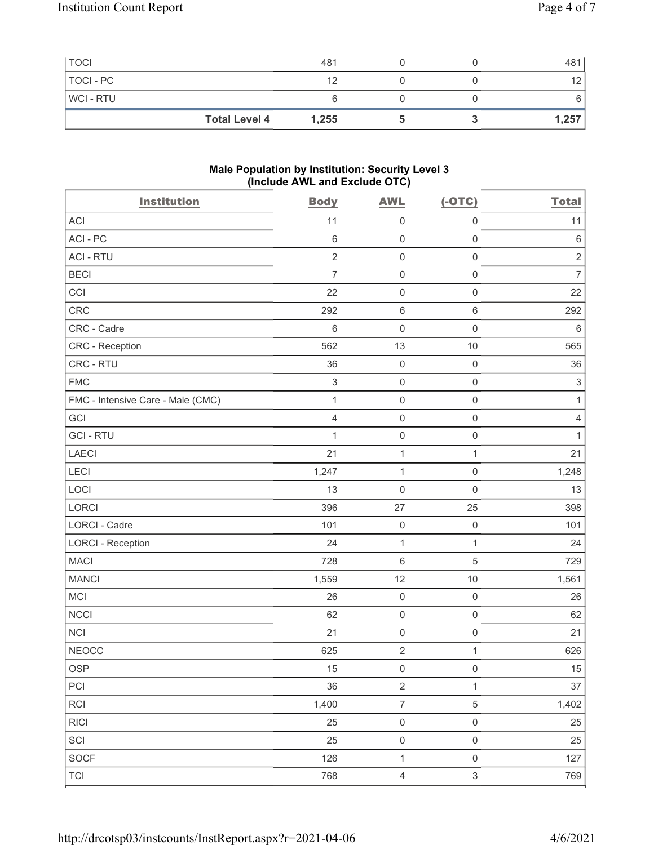| <b>TOCI</b>    |                      | 481   |  | 481             |
|----------------|----------------------|-------|--|-----------------|
| TOCI - PC      |                      | 12    |  | 12 <sub>1</sub> |
| <b>WCI-RTU</b> |                      |       |  | 6               |
|                | <b>Total Level 4</b> | 1,255 |  | 1,257           |

#### Male Population by Institution: Security Level 3 (Include AWL and Exclude OTC)

| <b>Institution</b>                | <b>Body</b>    | <b>AWL</b>          | $(-OTC)$            | <b>Total</b>   |
|-----------------------------------|----------------|---------------------|---------------------|----------------|
| <b>ACI</b>                        | 11             | $\mathsf 0$         | $\mathsf 0$         | 11             |
| ACI - PC                          | $\,6\,$        | $\mathsf 0$         | $\mathsf 0$         | $\,6\,$        |
| <b>ACI - RTU</b>                  | $\sqrt{2}$     | $\mathsf 0$         | $\mathsf 0$         | $\sqrt{2}$     |
| <b>BECI</b>                       | $\overline{7}$ | $\mathbf 0$         | $\mathsf{O}\xspace$ | $\overline{7}$ |
| CCI                               | 22             | $\mathsf 0$         | $\mathsf 0$         | 22             |
| CRC                               | 292            | $6\,$               | $\,6\,$             | 292            |
| CRC - Cadre                       | $6\,$          | $\mathsf{O}\xspace$ | $\mathbf 0$         | $\,6\,$        |
| CRC - Reception                   | 562            | 13                  | $10$                | 565            |
| CRC - RTU                         | 36             | $\mathbf 0$         | $\mathsf 0$         | 36             |
| <b>FMC</b>                        | $\,3$          | $\mathsf 0$         | $\mathsf 0$         | $\sqrt{3}$     |
| FMC - Intensive Care - Male (CMC) | $\mathbf{1}$   | $\mathbf 0$         | $\mathsf 0$         | $\mathbf{1}$   |
| GCI                               | 4              | $\mathsf 0$         | $\mathsf 0$         | $\sqrt{4}$     |
| <b>GCI-RTU</b>                    | 1              | $\mathsf 0$         | $\mathsf 0$         | 1              |
| LAECI                             | 21             | $\mathbf{1}$        | 1                   | 21             |
| LECI                              | 1,247          | $\mathbf{1}$        | $\mathsf 0$         | 1,248          |
| LOCI                              | 13             | $\mathbf 0$         | $\mathbf 0$         | 13             |
| LORCI                             | 396            | 27                  | 25                  | 398            |
| LORCI - Cadre                     | 101            | $\mathbf 0$         | $\mathsf 0$         | 101            |
| <b>LORCI - Reception</b>          | 24             | $\mathbf{1}$        | $\mathbf{1}$        | 24             |
| <b>MACI</b>                       | 728            | $\,6\,$             | 5                   | 729            |
| <b>MANCI</b>                      | 1,559          | 12                  | 10                  | 1,561          |
| <b>MCI</b>                        | 26             | $\mathbf 0$         | $\mathsf 0$         | 26             |
| <b>NCCI</b>                       | 62             | $\mathsf 0$         | $\mathsf 0$         | 62             |
| <b>NCI</b>                        | 21             | $\mathsf 0$         | $\mathsf 0$         | 21             |
| <b>NEOCC</b>                      | 625            | $\sqrt{2}$          | $\mathbf{1}$        | 626            |
| OSP                               | 15             | $\mathsf{O}\xspace$ | $\mathsf{O}\xspace$ | $15\,$         |
| PCI                               | 36             | $\sqrt{2}$          | $\mathbf{1}$        | $37\,$         |
| RCI                               | 1,400          | $\overline{7}$      | $\,$ 5 $\,$         | 1,402          |
| <b>RICI</b>                       | 25             | $\mathbf 0$         | $\mathsf{O}\xspace$ | 25             |
| SCI                               | 25             | $\mathsf{O}\xspace$ | $\mathsf 0$         | 25             |
| <b>SOCF</b>                       | 126            | $\mathbf{1}$        | $\mathsf 0$         | 127            |
| <b>TCI</b>                        | 768            | $\overline{4}$      | $\,$ 3 $\,$         | 769            |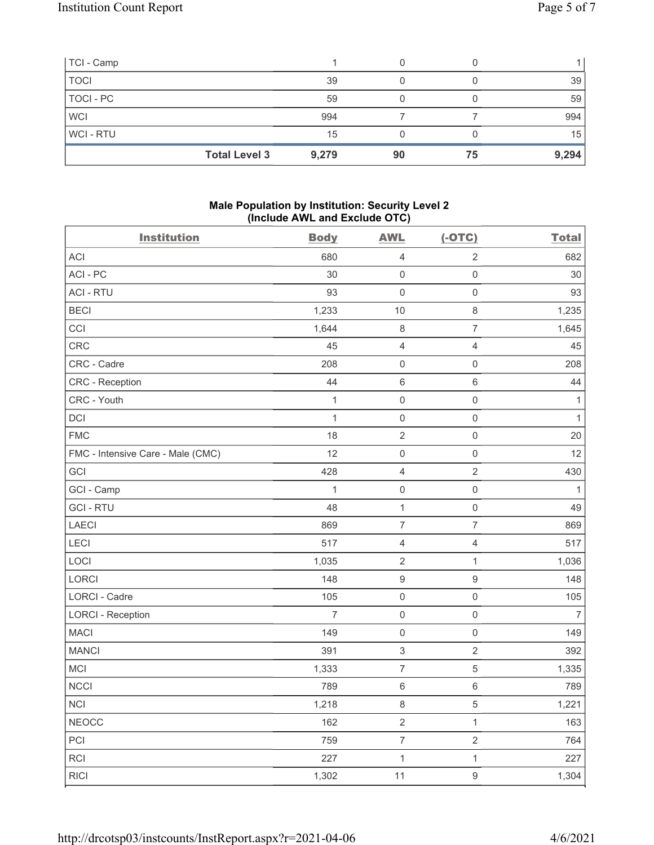| TCI - Camp     |                      |       |    |    |       |
|----------------|----------------------|-------|----|----|-------|
| <b>TOCI</b>    |                      | 39    |    |    | 39    |
| TOCI - PC      |                      | 59    |    |    | 59    |
| <b>WCI</b>     |                      | 994   |    |    | 994   |
| <b>WCI-RTU</b> |                      | 15    |    |    | 15    |
|                | <b>Total Level 3</b> | 9,279 | 90 | 75 | 9,294 |

#### Male Population by Institution: Security Level 2 (Include AWL and Exclude OTC)

| <b>Institution</b>                | <b>Body</b>    | <b>AWL</b>          | $(-OTC)$            | <b>Total</b>   |
|-----------------------------------|----------------|---------------------|---------------------|----------------|
| <b>ACI</b>                        | 680            | $\overline{4}$      | $\overline{2}$      | 682            |
| ACI - PC                          | 30             | $\mathsf{O}\xspace$ | $\mathsf{O}\xspace$ | 30             |
| <b>ACI - RTU</b>                  | 93             | $\mathsf{O}\xspace$ | $\mathsf{O}\xspace$ | 93             |
| <b>BECI</b>                       | 1,233          | $10$                | $\,8\,$             | 1,235          |
| CCI                               | 1,644          | $\,8\,$             | $\overline{7}$      | 1,645          |
| <b>CRC</b>                        | 45             | $\sqrt{4}$          | $\overline{4}$      | 45             |
| CRC - Cadre                       | 208            | $\mathsf{O}\xspace$ | $\mathsf{O}\xspace$ | 208            |
| CRC - Reception                   | 44             | $\,6\,$             | $\,6\,$             | 44             |
| CRC - Youth                       | $\mathbf{1}$   | $\mathbf 0$         | $\mathsf 0$         | $\mathbf{1}$   |
| $\mathsf{D}\mathsf{C}\mathsf{I}$  | $\mathbf{1}$   | $\mathsf 0$         | $\mathsf 0$         | $\mathbf{1}$   |
| <b>FMC</b>                        | 18             | $\sqrt{2}$          | $\mathsf 0$         | $20\,$         |
| FMC - Intensive Care - Male (CMC) | 12             | $\mathsf{O}\xspace$ | $\mathsf{O}\xspace$ | 12             |
| GCI                               | 428            | $\overline{4}$      | $\overline{2}$      | 430            |
| GCI - Camp                        | 1              | $\mathsf{O}\xspace$ | $\mathsf 0$         | $\mathbf{1}$   |
| <b>GCI-RTU</b>                    | 48             | $\mathbf{1}$        | $\mathsf 0$         | 49             |
| <b>LAECI</b>                      | 869            | $\boldsymbol{7}$    | $\boldsymbol{7}$    | 869            |
| LECI                              | 517            | $\sqrt{4}$          | $\overline{4}$      | 517            |
| LOCI                              | 1,035          | $\overline{2}$      | $\mathbf{1}$        | 1,036          |
| LORCI                             | 148            | $\boldsymbol{9}$    | $\boldsymbol{9}$    | 148            |
| LORCI - Cadre                     | 105            | $\mathsf 0$         | $\mathsf 0$         | 105            |
| <b>LORCI - Reception</b>          | $\overline{7}$ | $\mathsf{O}\xspace$ | $\mathsf 0$         | $\overline{7}$ |
| <b>MACI</b>                       | 149            | $\mathsf{O}\xspace$ | $\mathsf 0$         | 149            |
| <b>MANCI</b>                      | 391            | $\sqrt{3}$          | $\overline{2}$      | 392            |
| MCI                               | 1,333          | $\boldsymbol{7}$    | 5                   | 1,335          |
| <b>NCCI</b>                       | 789            | $\,6\,$             | $\,6\,$             | 789            |
| <b>NCI</b>                        | 1,218          | 8                   | 5                   | 1,221          |
| <b>NEOCC</b>                      | 162            | $\overline{2}$      | $\mathbf{1}$        | 163            |
| PCI                               | 759            | $\boldsymbol{7}$    | $\overline{2}$      | 764            |
| RCI                               | 227            | $\mathbf{1}$        | $\mathbf{1}$        | 227            |
| <b>RICI</b>                       | 1,302          | 11                  | $\boldsymbol{9}$    | 1,304          |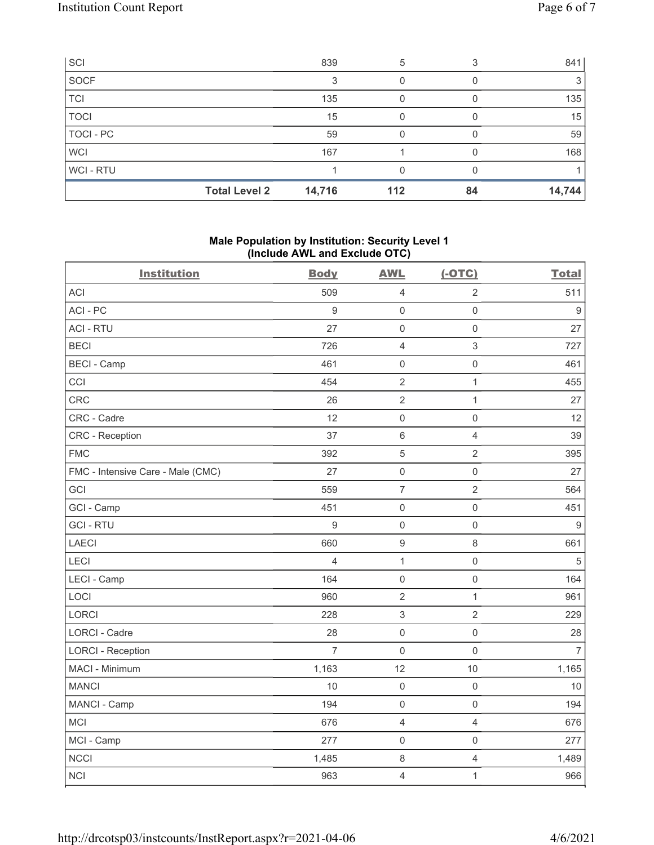| SCI         |                      | 839    | 5   |    | 841    |
|-------------|----------------------|--------|-----|----|--------|
| SOCF        |                      | 3      |     |    |        |
| <b>TCI</b>  |                      | 135    |     |    | 135    |
| <b>TOCI</b> |                      | 15     |     |    | 15     |
| TOCI - PC   |                      | 59     |     |    | 59     |
| <b>WCI</b>  |                      | 167    |     |    | 168    |
| WCI-RTU     |                      |        |     |    |        |
|             | <b>Total Level 2</b> | 14,716 | 112 | 84 | 14,744 |

### Male Population by Institution: Security Level 1 (Include AWL and Exclude OTC)

| <b>Institution</b>                | <b>Body</b>      | <b>AWL</b>          | $(-OTC)$            | <b>Total</b>   |
|-----------------------------------|------------------|---------------------|---------------------|----------------|
| <b>ACI</b>                        | 509              | $\overline{4}$      | $\overline{2}$      | 511            |
| ACI-PC                            | $\boldsymbol{9}$ | $\mathbf 0$         | $\mathsf 0$         | $9\,$          |
| <b>ACI - RTU</b>                  | 27               | $\mathbf 0$         | $\mathbf 0$         | 27             |
| <b>BECI</b>                       | 726              | $\overline{4}$      | $\sqrt{3}$          | 727            |
| <b>BECI - Camp</b>                | 461              | $\mathbf 0$         | $\mathsf 0$         | 461            |
| CCI                               | 454              | $\sqrt{2}$          | $\mathbf{1}$        | 455            |
| CRC                               | 26               | $\sqrt{2}$          | $\mathbf{1}$        | 27             |
| CRC - Cadre                       | 12               | $\mathbf 0$         | $\mathsf{O}\xspace$ | 12             |
| <b>CRC</b> - Reception            | 37               | $\,6\,$             | $\overline{4}$      | 39             |
| <b>FMC</b>                        | 392              | $\mathbf 5$         | $\overline{2}$      | 395            |
| FMC - Intensive Care - Male (CMC) | 27               | $\mathsf{O}\xspace$ | $\mathsf 0$         | 27             |
| GCI                               | 559              | $\overline{7}$      | $\overline{2}$      | 564            |
| GCI - Camp                        | 451              | $\mathbf 0$         | $\mathsf 0$         | 451            |
| <b>GCI-RTU</b>                    | 9                | $\mathbf 0$         | $\mathsf 0$         | $9\,$          |
| <b>LAECI</b>                      | 660              | $\boldsymbol{9}$    | $\,8\,$             | 661            |
| LECI                              | 4                | $\mathbf{1}$        | $\mathsf 0$         | $\,$ 5 $\,$    |
| LECI - Camp                       | 164              | $\mathbf 0$         | $\mathsf{O}\xspace$ | 164            |
| LOCI                              | 960              | $\sqrt{2}$          | $\mathbf{1}$        | 961            |
| <b>LORCI</b>                      | 228              | $\sqrt{3}$          | $\overline{2}$      | 229            |
| LORCI - Cadre                     | 28               | $\mathbf 0$         | $\mathsf 0$         | 28             |
| <b>LORCI - Reception</b>          | $\overline{7}$   | $\mathbf 0$         | $\mathsf{O}\xspace$ | $\overline{7}$ |
| MACI - Minimum                    | 1,163            | 12                  | 10                  | 1,165          |
| <b>MANCI</b>                      | 10               | $\mathbf 0$         | $\mathbf 0$         | 10             |
| MANCI - Camp                      | 194              | $\mathbf 0$         | $\mathsf 0$         | 194            |
| <b>MCI</b>                        | 676              | $\overline{4}$      | $\overline{4}$      | 676            |
| MCI - Camp                        | 277              | $\mathbf 0$         | $\mathsf 0$         | 277            |
| <b>NCCI</b>                       | 1,485            | $\,8\,$             | $\overline{4}$      | 1,489          |
| <b>NCI</b>                        | 963              | $\overline{4}$      | $\mathbf{1}$        | 966            |